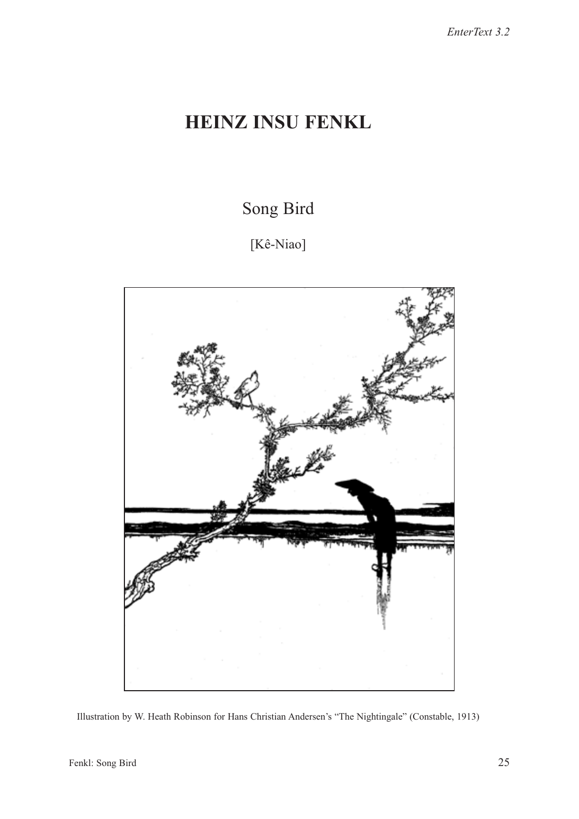## HEINZ INSU FENKL

Song Bird

[Kê-Niao]



Illustration by W. Heath Robinson for Hans Christian Andersen's "The Nightingale" (Constable, 1913)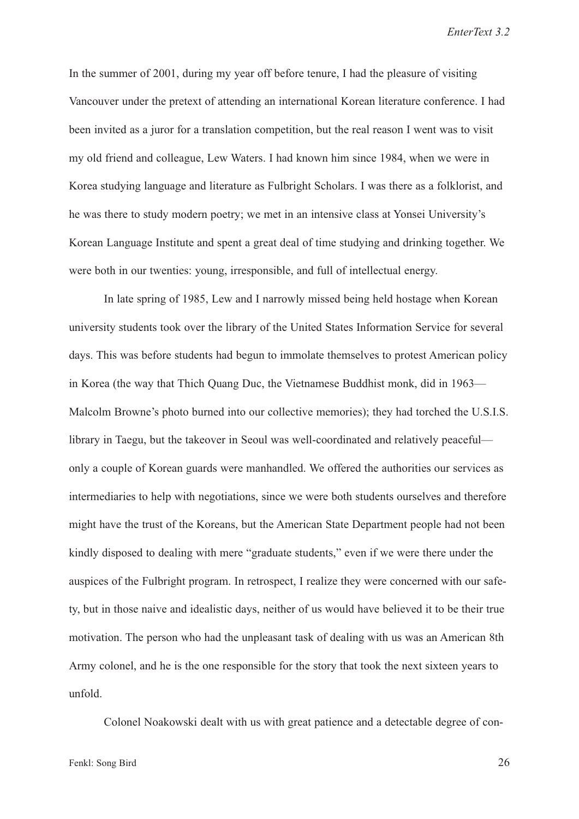In the summer of 2001, during my year off before tenure, I had the pleasure of visiting Vancouver under the pretext of attending an international Korean literature conference. I had been invited as a juror for a translation competition, but the real reason I went was to visit my old friend and colleague, Lew Waters. I had known him since 1984, when we were in Korea studying language and literature as Fulbright Scholars. I was there as a folklorist, and he was there to study modern poetry; we met in an intensive class at Yonsei University's Korean Language Institute and spent a great deal of time studying and drinking together. We were both in our twenties: young, irresponsible, and full of intellectual energy.

In late spring of 1985, Lew and I narrowly missed being held hostage when Korean university students took over the library of the United States Information Service for several days. This was before students had begun to immolate themselves to protest American policy in Korea (the way that Thich Quang Duc, the Vietnamese Buddhist monk, did in 1963— Malcolm Browne's photo burned into our collective memories); they had torched the U.S.I.S. library in Taegu, but the takeover in Seoul was well-coordinated and relatively peaceful only a couple of Korean guards were manhandled. We offered the authorities our services as intermediaries to help with negotiations, since we were both students ourselves and therefore might have the trust of the Koreans, but the American State Department people had not been kindly disposed to dealing with mere "graduate students," even if we were there under the auspices of the Fulbright program. In retrospect, I realize they were concerned with our safety, but in those naive and idealistic days, neither of us would have believed it to be their true motivation. The person who had the unpleasant task of dealing with us was an American 8th Army colonel, and he is the one responsible for the story that took the next sixteen years to unfold.

Colonel Noakowski dealt with us with great patience and a detectable degree of con-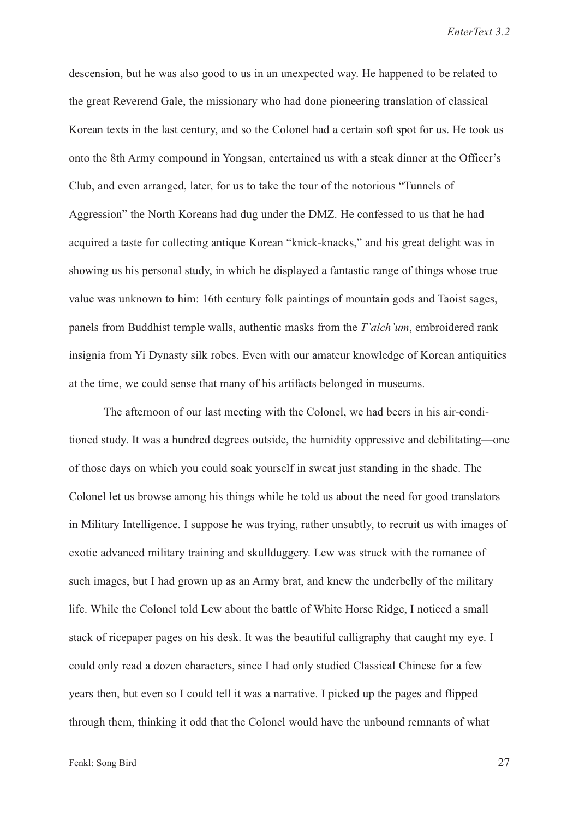descension, but he was also good to us in an unexpected way. He happened to be related to the great Reverend Gale, the missionary who had done pioneering translation of classical Korean texts in the last century, and so the Colonel had a certain soft spot for us. He took us onto the 8th Army compound in Yongsan, entertained us with a steak dinner at the Officer's Club, and even arranged, later, for us to take the tour of the notorious "Tunnels of Aggression" the North Koreans had dug under the DMZ. He confessed to us that he had acquired a taste for collecting antique Korean "knick-knacks," and his great delight was in showing us his personal study, in which he displayed a fantastic range of things whose true value was unknown to him: 16th century folk paintings of mountain gods and Taoist sages, panels from Buddhist temple walls, authentic masks from the T'alch'um, embroidered rank insignia from Yi Dynasty silk robes. Even with our amateur knowledge of Korean antiquities at the time, we could sense that many of his artifacts belonged in museums.

The afternoon of our last meeting with the Colonel, we had beers in his air-conditioned study. It was a hundred degrees outside, the humidity oppressive and debilitating—one of those days on which you could soak yourself in sweat just standing in the shade. The Colonel let us browse among his things while he told us about the need for good translators in Military Intelligence. I suppose he was trying, rather unsubtly, to recruit us with images of exotic advanced military training and skullduggery. Lew was struck with the romance of such images, but I had grown up as an Army brat, and knew the underbelly of the military life. While the Colonel told Lew about the battle of White Horse Ridge, I noticed a small stack of ricepaper pages on his desk. It was the beautiful calligraphy that caught my eye. I could only read a dozen characters, since I had only studied Classical Chinese for a few years then, but even so I could tell it was a narrative. I picked up the pages and flipped through them, thinking it odd that the Colonel would have the unbound remnants of what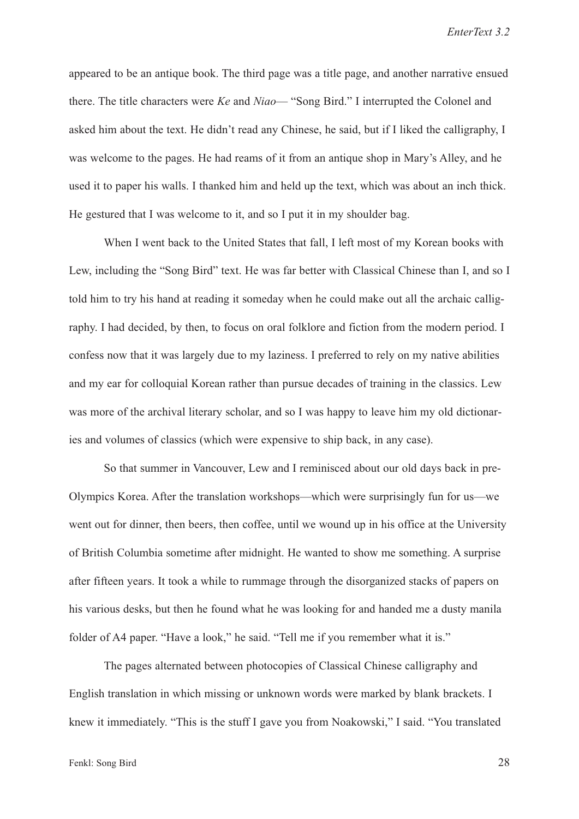appeared to be an antique book. The third page was a title page, and another narrative ensued there. The title characters were Ke and Niao— "Song Bird." I interrupted the Colonel and asked him about the text. He didn't read any Chinese, he said, but if I liked the calligraphy, I was welcome to the pages. He had reams of it from an antique shop in Mary's Alley, and he used it to paper his walls. I thanked him and held up the text, which was about an inch thick. He gestured that I was welcome to it, and so I put it in my shoulder bag.

When I went back to the United States that fall, I left most of my Korean books with Lew, including the "Song Bird" text. He was far better with Classical Chinese than I, and so I told him to try his hand at reading it someday when he could make out all the archaic calligraphy. I had decided, by then, to focus on oral folklore and fiction from the modern period. I confess now that it was largely due to my laziness. I preferred to rely on my native abilities and my ear for colloquial Korean rather than pursue decades of training in the classics. Lew was more of the archival literary scholar, and so I was happy to leave him my old dictionaries and volumes of classics (which were expensive to ship back, in any case).

So that summer in Vancouver, Lew and I reminisced about our old days back in pre-Olympics Korea. After the translation workshops—which were surprisingly fun for us—we went out for dinner, then beers, then coffee, until we wound up in his office at the University of British Columbia sometime after midnight. He wanted to show me something. A surprise after fifteen years. It took a while to rummage through the disorganized stacks of papers on his various desks, but then he found what he was looking for and handed me a dusty manila folder of A4 paper. "Have a look," he said. "Tell me if you remember what it is."

The pages alternated between photocopies of Classical Chinese calligraphy and English translation in which missing or unknown words were marked by blank brackets. I knew it immediately. "This is the stuff I gave you from Noakowski," I said. "You translated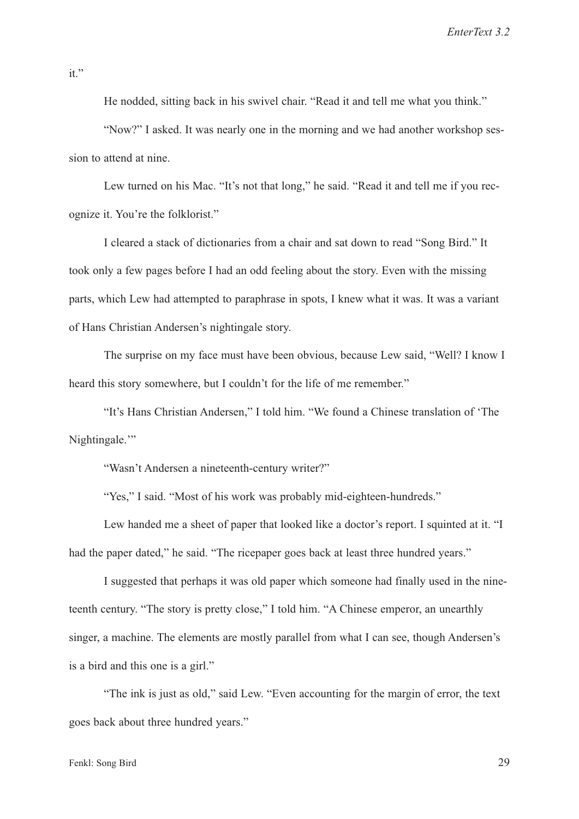it."

He nodded, sitting back in his swivel chair. "Read it and tell me what you think."

"Now?" I asked. It was nearly one in the morning and we had another workshop session to attend at nine.

Lew turned on his Mac. "It's not that long," he said. "Read it and tell me if you recognize it. You're the folklorist."

I cleared a stack of dictionaries from a chair and sat down to read "Song Bird." It took only a few pages before I had an odd feeling about the story. Even with the missing parts, which Lew had attempted to paraphrase in spots, I knew what it was. It was a variant of Hans Christian Andersen's nightingale story.

The surprise on my face must have been obvious, because Lew said, "Well? I know I heard this story somewhere, but I couldn't for the life of me remember."

"It's Hans Christian Andersen," I told him. "We found a Chinese translation of 'The Nightingale."

"Wasn't Andersen a nineteenth-century writer?"

"Yes," I said. "Most of his work was probably mid-eighteen-hundreds."

Lew handed me a sheet of paper that looked like a doctor's report. I squinted at it. "I had the paper dated," he said. "The ricepaper goes back at least three hundred years."

I suggested that perhaps it was old paper which someone had finally used in the nineteenth century. "The story is pretty close," I told him. "A Chinese emperor, an unearthly singer, a machine. The elements are mostly parallel from what I can see, though Andersen's is a bird and this one is a girl."

"The ink is just as old," said Lew. "Even accounting for the margin of error, the text goes back about three hundred years."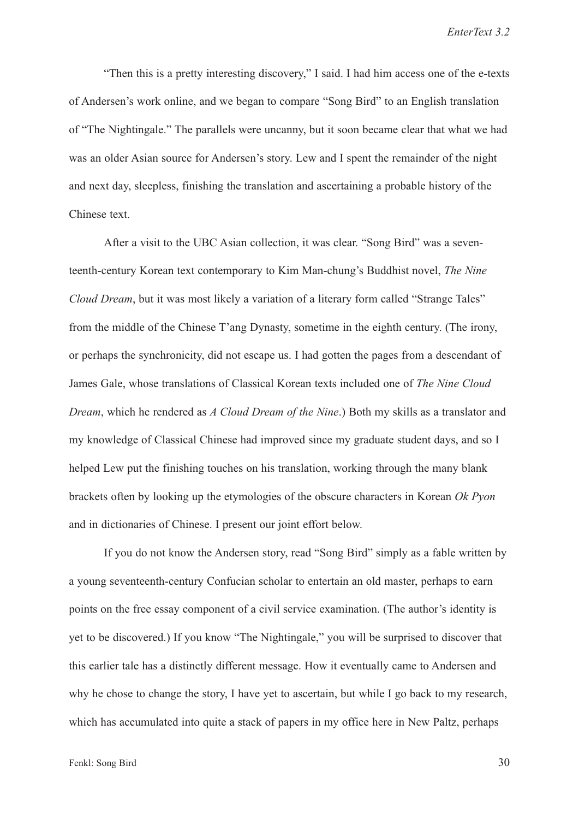"Then this is a pretty interesting discovery," I said. I had him access one of the e-texts of Andersen's work online, and we began to compare "Song Bird" to an English translation of "The Nightingale." The parallels were uncanny, but it soon became clear that what we had was an older Asian source for Andersen's story. Lew and I spent the remainder of the night and next day, sleepless, finishing the translation and ascertaining a probable history of the Chinese text.

After a visit to the UBC Asian collection, it was clear. "Song Bird" was a seventeenth-century Korean text contemporary to Kim Man-chung's Buddhist novel, The Nine Cloud Dream, but it was most likely a variation of a literary form called "Strange Tales" from the middle of the Chinese T'ang Dynasty, sometime in the eighth century. (The irony, or perhaps the synchronicity, did not escape us. I had gotten the pages from a descendant of James Gale, whose translations of Classical Korean texts included one of The Nine Cloud Dream, which he rendered as A Cloud Dream of the Nine.) Both my skills as a translator and my knowledge of Classical Chinese had improved since my graduate student days, and so I helped Lew put the finishing touches on his translation, working through the many blank brackets often by looking up the etymologies of the obscure characters in Korean Ok Pyon and in dictionaries of Chinese. I present our joint effort below.

If you do not know the Andersen story, read "Song Bird" simply as a fable written by a young seventeenth-century Confucian scholar to entertain an old master, perhaps to earn points on the free essay component of a civil service examination. (The author's identity is yet to be discovered.) If you know "The Nightingale," you will be surprised to discover that this earlier tale has a distinctly different message. How it eventually came to Andersen and why he chose to change the story, I have yet to ascertain, but while I go back to my research, which has accumulated into quite a stack of papers in my office here in New Paltz, perhaps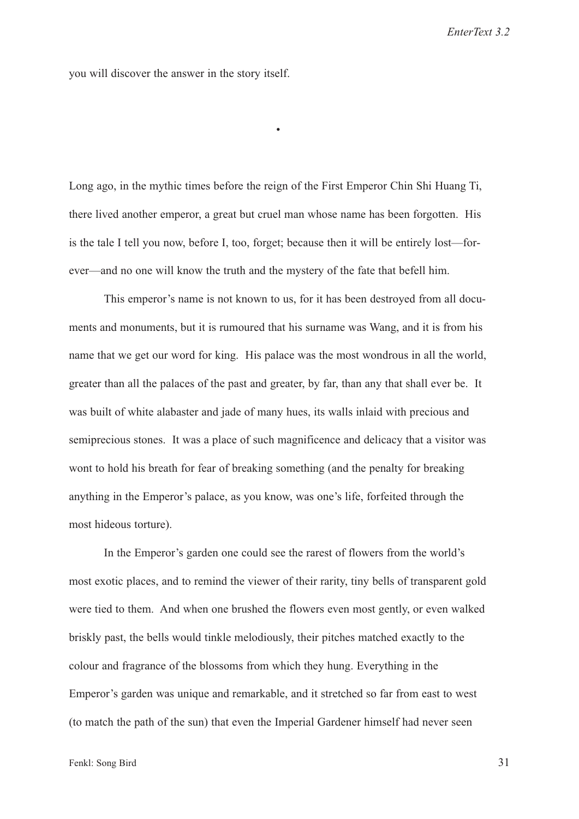you will discover the answer in the story itself.

Long ago, in the mythic times before the reign of the First Emperor Chin Shi Huang Ti, there lived another emperor, a great but cruel man whose name has been forgotten. His is the tale I tell you now, before I, too, forget; because then it will be entirely lost—forever—and no one will know the truth and the mystery of the fate that befell him.

•

This emperor's name is not known to us, for it has been destroyed from all documents and monuments, but it is rumoured that his surname was Wang, and it is from his name that we get our word for king. His palace was the most wondrous in all the world, greater than all the palaces of the past and greater, by far, than any that shall ever be. It was built of white alabaster and jade of many hues, its walls inlaid with precious and semiprecious stones. It was a place of such magnificence and delicacy that a visitor was wont to hold his breath for fear of breaking something (and the penalty for breaking anything in the Emperor's palace, as you know, was one's life, forfeited through the most hideous torture).

In the Emperor's garden one could see the rarest of flowers from the world's most exotic places, and to remind the viewer of their rarity, tiny bells of transparent gold were tied to them. And when one brushed the flowers even most gently, or even walked briskly past, the bells would tinkle melodiously, their pitches matched exactly to the colour and fragrance of the blossoms from which they hung. Everything in the Emperor's garden was unique and remarkable, and it stretched so far from east to west (to match the path of the sun) that even the Imperial Gardener himself had never seen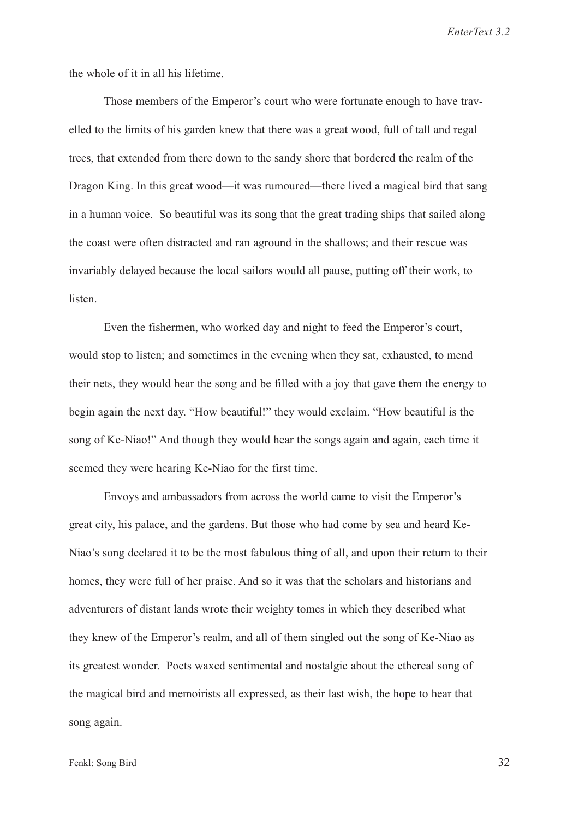the whole of it in all his lifetime.

Those members of the Emperor's court who were fortunate enough to have travelled to the limits of his garden knew that there was a great wood, full of tall and regal trees, that extended from there down to the sandy shore that bordered the realm of the Dragon King. In this great wood—it was rumoured—there lived a magical bird that sang in a human voice. So beautiful was its song that the great trading ships that sailed along the coast were often distracted and ran aground in the shallows; and their rescue was invariably delayed because the local sailors would all pause, putting off their work, to listen.

Even the fishermen, who worked day and night to feed the Emperor's court, would stop to listen; and sometimes in the evening when they sat, exhausted, to mend their nets, they would hear the song and be filled with a joy that gave them the energy to begin again the next day. "How beautiful!" they would exclaim. "How beautiful is the song of Ke-Niao!" And though they would hear the songs again and again, each time it seemed they were hearing Ke-Niao for the first time.

Envoys and ambassadors from across the world came to visit the Emperor's great city, his palace, and the gardens. But those who had come by sea and heard Ke-Niao's song declared it to be the most fabulous thing of all, and upon their return to their homes, they were full of her praise. And so it was that the scholars and historians and adventurers of distant lands wrote their weighty tomes in which they described what they knew of the Emperor's realm, and all of them singled out the song of Ke-Niao as its greatest wonder. Poets waxed sentimental and nostalgic about the ethereal song of the magical bird and memoirists all expressed, as their last wish, the hope to hear that song again.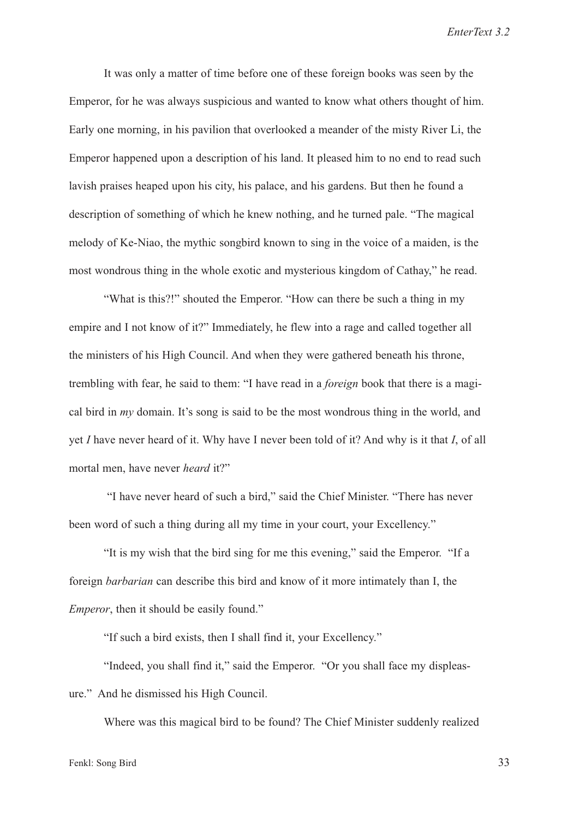It was only a matter of time before one of these foreign books was seen by the Emperor, for he was always suspicious and wanted to know what others thought of him. Early one morning, in his pavilion that overlooked a meander of the misty River Li, the Emperor happened upon a description of his land. It pleased him to no end to read such lavish praises heaped upon his city, his palace, and his gardens. But then he found a description of something of which he knew nothing, and he turned pale. "The magical melody of Ke-Niao, the mythic songbird known to sing in the voice of a maiden, is the most wondrous thing in the whole exotic and mysterious kingdom of Cathay," he read.

"What is this?!" shouted the Emperor. "How can there be such a thing in my empire and I not know of it?" Immediately, he flew into a rage and called together all the ministers of his High Council. And when they were gathered beneath his throne, trembling with fear, he said to them: "I have read in a foreign book that there is a magical bird in  $mv$  domain. It's song is said to be the most wondrous thing in the world, and yet I have never heard of it. Why have I never been told of it? And why is it that I, of all mortal men, have never heard it?"

"I have never heard of such a bird," said the Chief Minister. "There has never been word of such a thing during all my time in your court, your Excellency."

"It is my wish that the bird sing for me this evening," said the Emperor. "If a foreign barbarian can describe this bird and know of it more intimately than I, the Emperor, then it should be easily found."

"If such a bird exists, then I shall find it, your Excellency."

"Indeed, you shall find it," said the Emperor. "Or you shall face my displeasure." And he dismissed his High Council.

Where was this magical bird to be found? The Chief Minister suddenly realized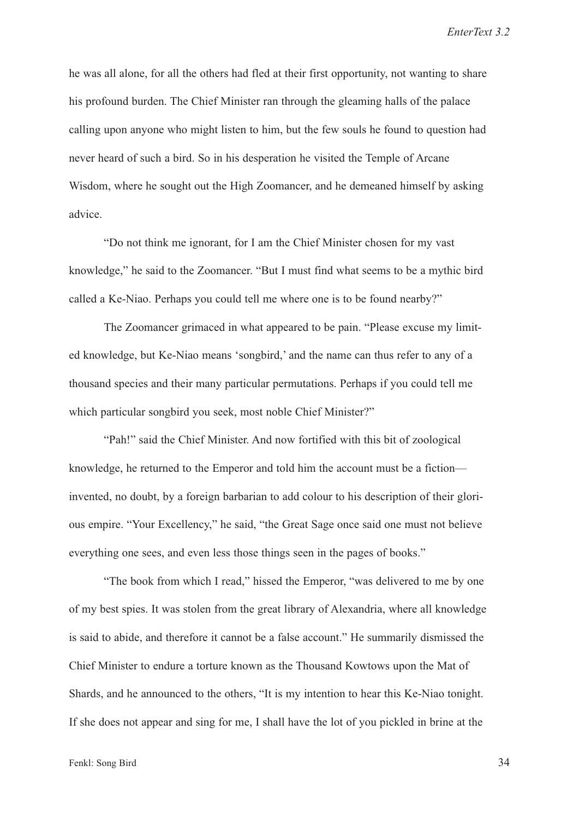he was all alone, for all the others had fled at their first opportunity, not wanting to share his profound burden. The Chief Minister ran through the gleaming halls of the palace calling upon anyone who might listen to him, but the few souls he found to question had never heard of such a bird. So in his desperation he visited the Temple of Arcane Wisdom, where he sought out the High Zoomancer, and he demeaned himself by asking advice.

"Do not think me ignorant, for I am the Chief Minister chosen for my vast knowledge," he said to the Zoomancer. "But I must find what seems to be a mythic bird called a Ke-Niao. Perhaps you could tell me where one is to be found nearby?"

The Zoomancer grimaced in what appeared to be pain. "Please excuse my limited knowledge, but Ke-Niao means 'songbird,' and the name can thus refer to any of a thousand species and their many particular permutations. Perhaps if you could tell me which particular songbird you seek, most noble Chief Minister?"

"Pah!" said the Chief Minister. And now fortified with this bit of zoological knowledge, he returned to the Emperor and told him the account must be a fiction invented, no doubt, by a foreign barbarian to add colour to his description of their glorious empire. "Your Excellency," he said, "the Great Sage once said one must not believe everything one sees, and even less those things seen in the pages of books."

"The book from which I read," hissed the Emperor, "was delivered to me by one of my best spies. It was stolen from the great library of Alexandria, where all knowledge is said to abide, and therefore it cannot be a false account." He summarily dismissed the Chief Minister to endure a torture known as the Thousand Kowtows upon the Mat of Shards, and he announced to the others, "It is my intention to hear this Ke-Niao tonight. If she does not appear and sing for me, I shall have the lot of you pickled in brine at the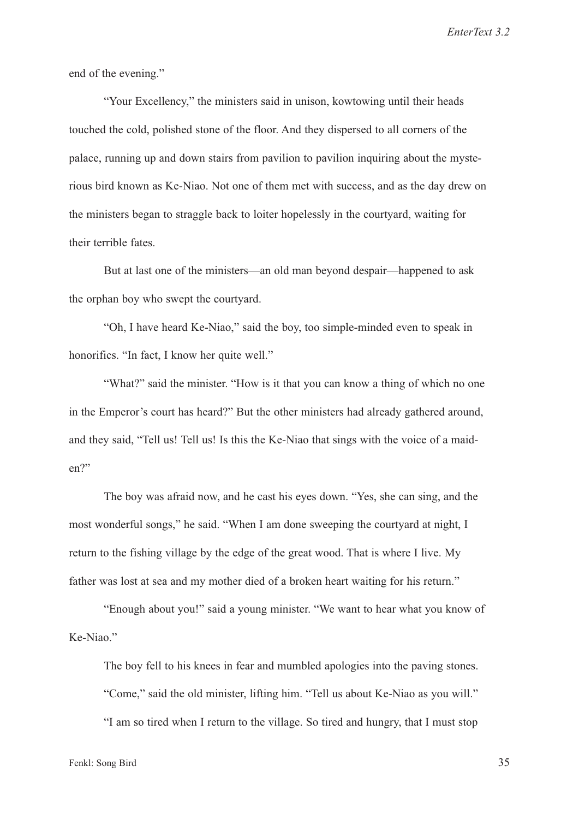end of the evening."

"Your Excellency," the ministers said in unison, kowtowing until their heads touched the cold, polished stone of the floor. And they dispersed to all corners of the palace, running up and down stairs from pavilion to pavilion inquiring about the mysterious bird known as Ke-Niao. Not one of them met with success, and as the day drew on the ministers began to straggle back to loiter hopelessly in the courtyard, waiting for their terrible fates.

But at last one of the ministers—an old man beyond despair—happened to ask the orphan boy who swept the courtyard.

"Oh, I have heard Ke-Niao," said the boy, too simple-minded even to speak in honorifics. "In fact, I know her quite well."

"What?" said the minister. "How is it that you can know a thing of which no one in the Emperor's court has heard?" But the other ministers had already gathered around, and they said, "Tell us! Tell us! Is this the Ke-Niao that sings with the voice of a maiden?"

The boy was afraid now, and he cast his eyes down. "Yes, she can sing, and the most wonderful songs," he said. "When I am done sweeping the courtyard at night, I return to the fishing village by the edge of the great wood. That is where I live. My father was lost at sea and my mother died of a broken heart waiting for his return."

"Enough about you!" said a young minister. "We want to hear what you know of Ke-Niao."

The boy fell to his knees in fear and mumbled apologies into the paving stones. "Come," said the old minister, lifting him. "Tell us about Ke-Niao as you will." "I am so tired when I return to the village. So tired and hungry, that I must stop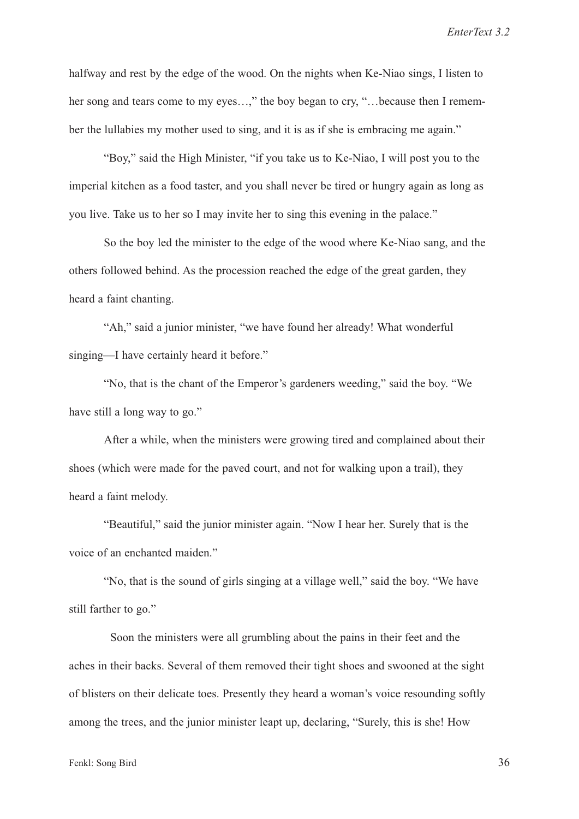halfway and rest by the edge of the wood. On the nights when Ke-Niao sings, I listen to her song and tears come to my eyes…," the boy began to cry, "…because then I remember the lullabies my mother used to sing, and it is as if she is embracing me again."

"Boy," said the High Minister, "if you take us to Ke-Niao, I will post you to the imperial kitchen as a food taster, and you shall never be tired or hungry again as long as you live. Take us to her so I may invite her to sing this evening in the palace."

So the boy led the minister to the edge of the wood where Ke-Niao sang, and the others followed behind. As the procession reached the edge of the great garden, they heard a faint chanting.

"Ah," said a junior minister, "we have found her already! What wonderful singing—I have certainly heard it before."

"No, that is the chant of the Emperor's gardeners weeding," said the boy. "We have still a long way to go."

After a while, when the ministers were growing tired and complained about their shoes (which were made for the paved court, and not for walking upon a trail), they heard a faint melody.

"Beautiful," said the junior minister again. "Now I hear her. Surely that is the voice of an enchanted maiden."

"No, that is the sound of girls singing at a village well," said the boy. "We have still farther to go."

Soon the ministers were all grumbling about the pains in their feet and the aches in their backs. Several of them removed their tight shoes and swooned at the sight of blisters on their delicate toes. Presently they heard a woman's voice resounding softly among the trees, and the junior minister leapt up, declaring, "Surely, this is she! How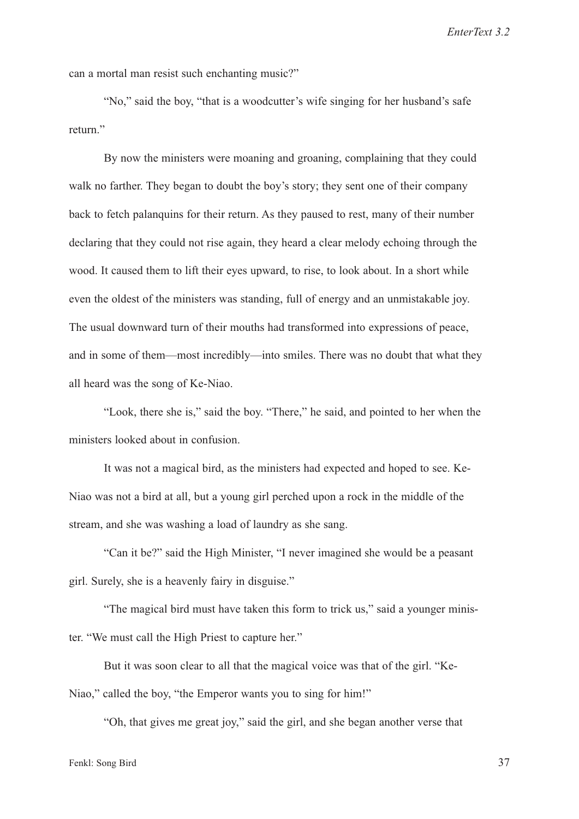can a mortal man resist such enchanting music?"

"No," said the boy, "that is a woodcutter's wife singing for her husband's safe return."

By now the ministers were moaning and groaning, complaining that they could walk no farther. They began to doubt the boy's story; they sent one of their company back to fetch palanquins for their return. As they paused to rest, many of their number declaring that they could not rise again, they heard a clear melody echoing through the wood. It caused them to lift their eyes upward, to rise, to look about. In a short while even the oldest of the ministers was standing, full of energy and an unmistakable joy. The usual downward turn of their mouths had transformed into expressions of peace, and in some of them—most incredibly—into smiles. There was no doubt that what they all heard was the song of Ke-Niao.

"Look, there she is," said the boy. "There," he said, and pointed to her when the ministers looked about in confusion.

It was not a magical bird, as the ministers had expected and hoped to see. Ke-Niao was not a bird at all, but a young girl perched upon a rock in the middle of the stream, and she was washing a load of laundry as she sang.

"Can it be?" said the High Minister, "I never imagined she would be a peasant girl. Surely, she is a heavenly fairy in disguise."

"The magical bird must have taken this form to trick us," said a younger minister. "We must call the High Priest to capture her."

But it was soon clear to all that the magical voice was that of the girl. "Ke-Niao," called the boy, "the Emperor wants you to sing for him!"

"Oh, that gives me great joy," said the girl, and she began another verse that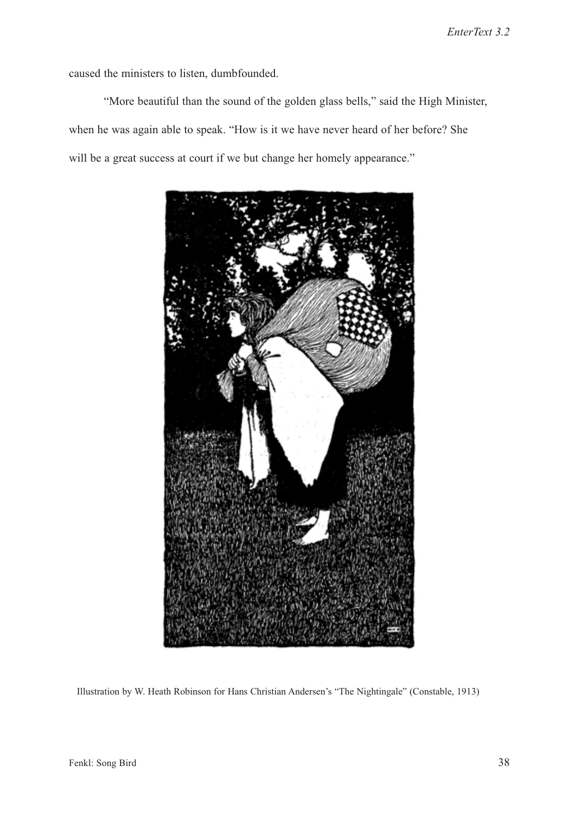caused the ministers to listen, dumbfounded.

"More beautiful than the sound of the golden glass bells," said the High Minister, when he was again able to speak. "How is it we have never heard of her before? She will be a great success at court if we but change her homely appearance."



Illustration by W. Heath Robinson for Hans Christian Andersen's "The Nightingale" (Constable, 1913)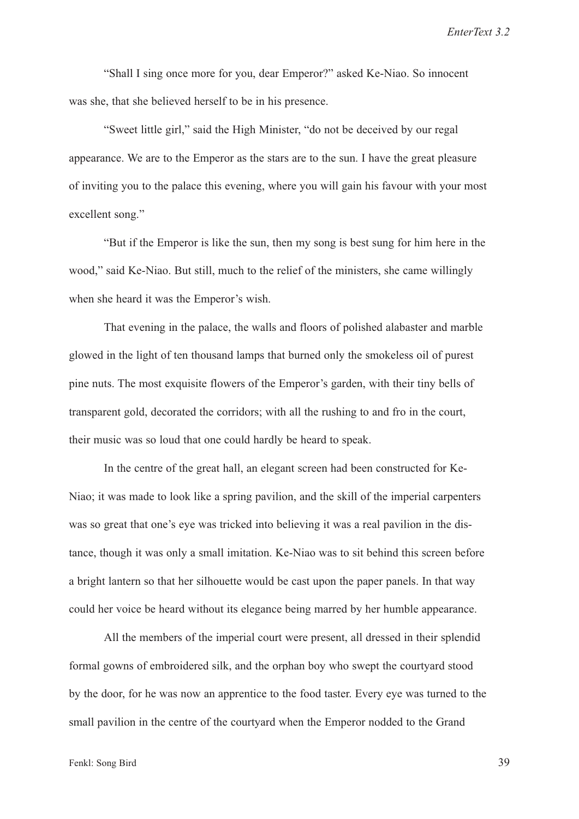"Shall I sing once more for you, dear Emperor?" asked Ke-Niao. So innocent was she, that she believed herself to be in his presence.

"Sweet little girl," said the High Minister, "do not be deceived by our regal appearance. We are to the Emperor as the stars are to the sun. I have the great pleasure of inviting you to the palace this evening, where you will gain his favour with your most excellent song."

"But if the Emperor is like the sun, then my song is best sung for him here in the wood," said Ke-Niao. But still, much to the relief of the ministers, she came willingly when she heard it was the Emperor's wish.

That evening in the palace, the walls and floors of polished alabaster and marble glowed in the light of ten thousand lamps that burned only the smokeless oil of purest pine nuts. The most exquisite flowers of the Emperor's garden, with their tiny bells of transparent gold, decorated the corridors; with all the rushing to and fro in the court, their music was so loud that one could hardly be heard to speak.

In the centre of the great hall, an elegant screen had been constructed for Ke-Niao; it was made to look like a spring pavilion, and the skill of the imperial carpenters was so great that one's eye was tricked into believing it was a real pavilion in the distance, though it was only a small imitation. Ke-Niao was to sit behind this screen before a bright lantern so that her silhouette would be cast upon the paper panels. In that way could her voice be heard without its elegance being marred by her humble appearance.

All the members of the imperial court were present, all dressed in their splendid formal gowns of embroidered silk, and the orphan boy who swept the courtyard stood by the door, for he was now an apprentice to the food taster. Every eye was turned to the small pavilion in the centre of the courtyard when the Emperor nodded to the Grand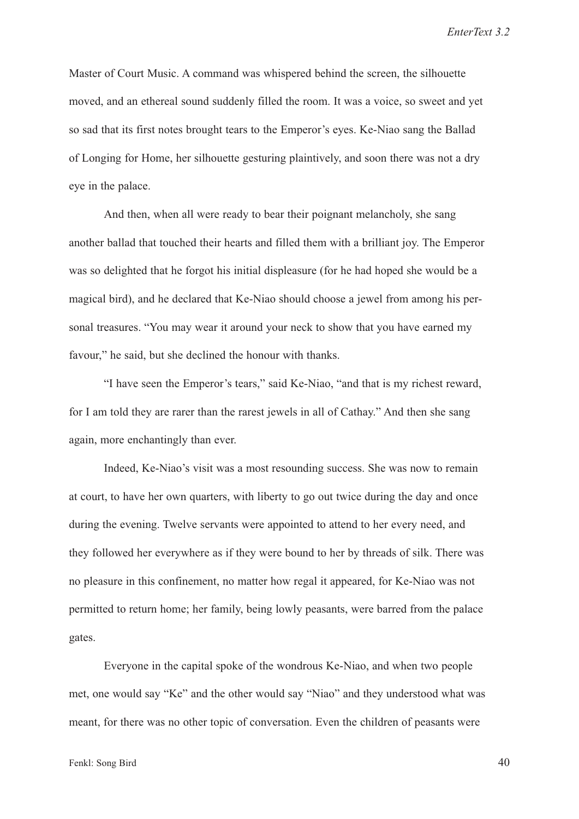Master of Court Music. A command was whispered behind the screen, the silhouette moved, and an ethereal sound suddenly filled the room. It was a voice, so sweet and yet so sad that its first notes brought tears to the Emperor's eyes. Ke-Niao sang the Ballad of Longing for Home, her silhouette gesturing plaintively, and soon there was not a dry eye in the palace.

And then, when all were ready to bear their poignant melancholy, she sang another ballad that touched their hearts and filled them with a brilliant joy. The Emperor was so delighted that he forgot his initial displeasure (for he had hoped she would be a magical bird), and he declared that Ke-Niao should choose a jewel from among his personal treasures. "You may wear it around your neck to show that you have earned my favour," he said, but she declined the honour with thanks.

"I have seen the Emperor's tears," said Ke-Niao, "and that is my richest reward, for I am told they are rarer than the rarest jewels in all of Cathay." And then she sang again, more enchantingly than ever.

Indeed, Ke-Niao's visit was a most resounding success. She was now to remain at court, to have her own quarters, with liberty to go out twice during the day and once during the evening. Twelve servants were appointed to attend to her every need, and they followed her everywhere as if they were bound to her by threads of silk. There was no pleasure in this confinement, no matter how regal it appeared, for Ke-Niao was not permitted to return home; her family, being lowly peasants, were barred from the palace gates.

Everyone in the capital spoke of the wondrous Ke-Niao, and when two people met, one would say "Ke" and the other would say "Niao" and they understood what was meant, for there was no other topic of conversation. Even the children of peasants were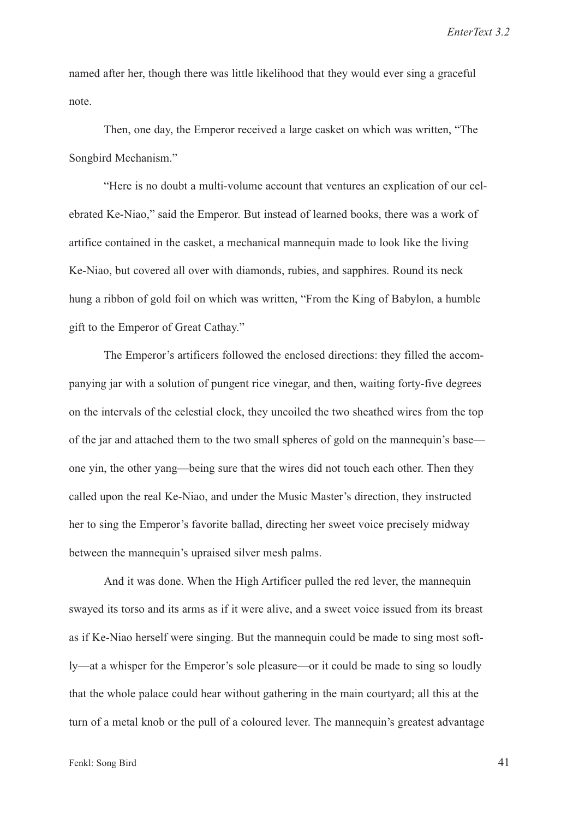named after her, though there was little likelihood that they would ever sing a graceful note.

Then, one day, the Emperor received a large casket on which was written, "The Songbird Mechanism."

"Here is no doubt a multi-volume account that ventures an explication of our celebrated Ke-Niao," said the Emperor. But instead of learned books, there was a work of artifice contained in the casket, a mechanical mannequin made to look like the living Ke-Niao, but covered all over with diamonds, rubies, and sapphires. Round its neck hung a ribbon of gold foil on which was written, "From the King of Babylon, a humble gift to the Emperor of Great Cathay."

The Emperor's artificers followed the enclosed directions: they filled the accompanying jar with a solution of pungent rice vinegar, and then, waiting forty-five degrees on the intervals of the celestial clock, they uncoiled the two sheathed wires from the top of the jar and attached them to the two small spheres of gold on the mannequin's base one yin, the other yang—being sure that the wires did not touch each other. Then they called upon the real Ke-Niao, and under the Music Master's direction, they instructed her to sing the Emperor's favorite ballad, directing her sweet voice precisely midway between the mannequin's upraised silver mesh palms.

And it was done. When the High Artificer pulled the red lever, the mannequin swayed its torso and its arms as if it were alive, and a sweet voice issued from its breast as if Ke-Niao herself were singing. But the mannequin could be made to sing most softly—at a whisper for the Emperor's sole pleasure—or it could be made to sing so loudly that the whole palace could hear without gathering in the main courtyard; all this at the turn of a metal knob or the pull of a coloured lever. The mannequin's greatest advantage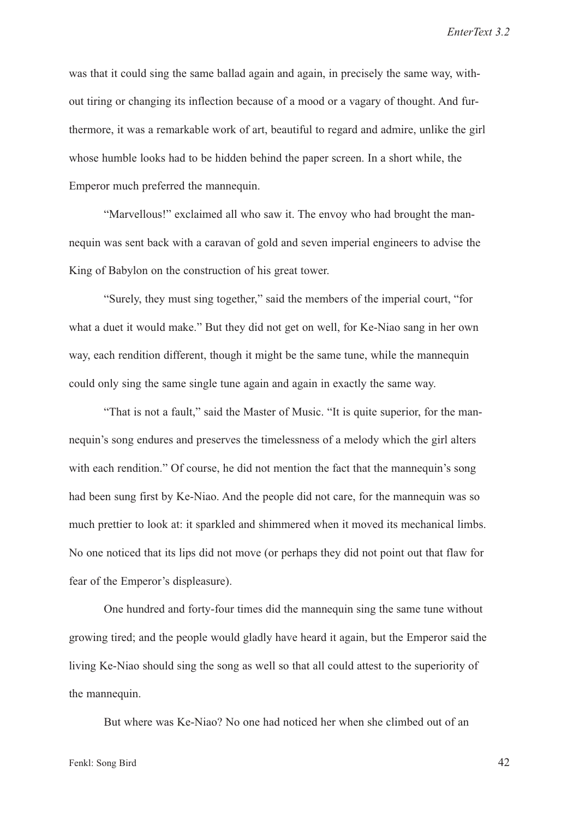was that it could sing the same ballad again and again, in precisely the same way, without tiring or changing its inflection because of a mood or a vagary of thought. And furthermore, it was a remarkable work of art, beautiful to regard and admire, unlike the girl whose humble looks had to be hidden behind the paper screen. In a short while, the Emperor much preferred the mannequin.

"Marvellous!" exclaimed all who saw it. The envoy who had brought the mannequin was sent back with a caravan of gold and seven imperial engineers to advise the King of Babylon on the construction of his great tower.

"Surely, they must sing together," said the members of the imperial court, "for what a duet it would make." But they did not get on well, for Ke-Niao sang in her own way, each rendition different, though it might be the same tune, while the mannequin could only sing the same single tune again and again in exactly the same way.

"That is not a fault," said the Master of Music. "It is quite superior, for the mannequin's song endures and preserves the timelessness of a melody which the girl alters with each rendition." Of course, he did not mention the fact that the mannequin's song had been sung first by Ke-Niao. And the people did not care, for the mannequin was so much prettier to look at: it sparkled and shimmered when it moved its mechanical limbs. No one noticed that its lips did not move (or perhaps they did not point out that flaw for fear of the Emperor's displeasure).

One hundred and forty-four times did the mannequin sing the same tune without growing tired; and the people would gladly have heard it again, but the Emperor said the living Ke-Niao should sing the song as well so that all could attest to the superiority of the mannequin.

But where was Ke-Niao? No one had noticed her when she climbed out of an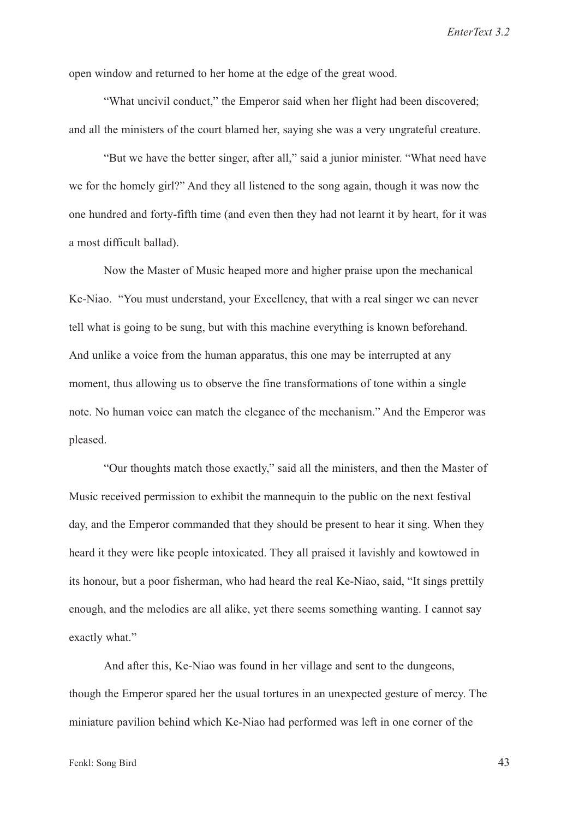open window and returned to her home at the edge of the great wood.

"What uncivil conduct," the Emperor said when her flight had been discovered; and all the ministers of the court blamed her, saying she was a very ungrateful creature.

"But we have the better singer, after all," said a junior minister. "What need have we for the homely girl?" And they all listened to the song again, though it was now the one hundred and forty-fifth time (and even then they had not learnt it by heart, for it was a most difficult ballad).

Now the Master of Music heaped more and higher praise upon the mechanical Ke-Niao. "You must understand, your Excellency, that with a real singer we can never tell what is going to be sung, but with this machine everything is known beforehand. And unlike a voice from the human apparatus, this one may be interrupted at any moment, thus allowing us to observe the fine transformations of tone within a single note. No human voice can match the elegance of the mechanism." And the Emperor was pleased.

"Our thoughts match those exactly," said all the ministers, and then the Master of Music received permission to exhibit the mannequin to the public on the next festival day, and the Emperor commanded that they should be present to hear it sing. When they heard it they were like people intoxicated. They all praised it lavishly and kowtowed in its honour, but a poor fisherman, who had heard the real Ke-Niao, said, "It sings prettily enough, and the melodies are all alike, yet there seems something wanting. I cannot say exactly what."

And after this, Ke-Niao was found in her village and sent to the dungeons, though the Emperor spared her the usual tortures in an unexpected gesture of mercy. The miniature pavilion behind which Ke-Niao had performed was left in one corner of the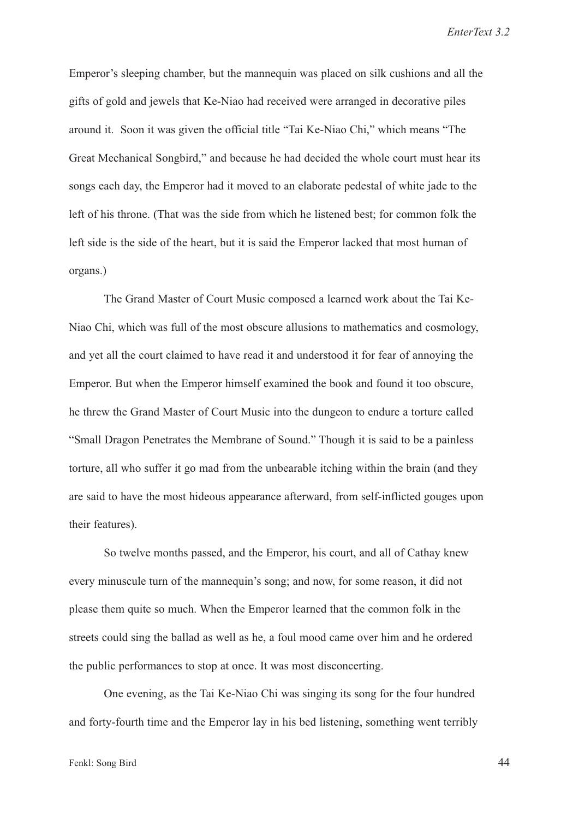Emperor's sleeping chamber, but the mannequin was placed on silk cushions and all the gifts of gold and jewels that Ke-Niao had received were arranged in decorative piles around it. Soon it was given the official title "Tai Ke-Niao Chi," which means "The Great Mechanical Songbird," and because he had decided the whole court must hear its songs each day, the Emperor had it moved to an elaborate pedestal of white jade to the left of his throne. (That was the side from which he listened best; for common folk the left side is the side of the heart, but it is said the Emperor lacked that most human of organs.)

The Grand Master of Court Music composed a learned work about the Tai Ke-Niao Chi, which was full of the most obscure allusions to mathematics and cosmology, and yet all the court claimed to have read it and understood it for fear of annoying the Emperor. But when the Emperor himself examined the book and found it too obscure, he threw the Grand Master of Court Music into the dungeon to endure a torture called "Small Dragon Penetrates the Membrane of Sound." Though it is said to be a painless torture, all who suffer it go mad from the unbearable itching within the brain (and they are said to have the most hideous appearance afterward, from self-inflicted gouges upon their features).

So twelve months passed, and the Emperor, his court, and all of Cathay knew every minuscule turn of the mannequin's song; and now, for some reason, it did not please them quite so much. When the Emperor learned that the common folk in the streets could sing the ballad as well as he, a foul mood came over him and he ordered the public performances to stop at once. It was most disconcerting.

One evening, as the Tai Ke-Niao Chi was singing its song for the four hundred and forty-fourth time and the Emperor lay in his bed listening, something went terribly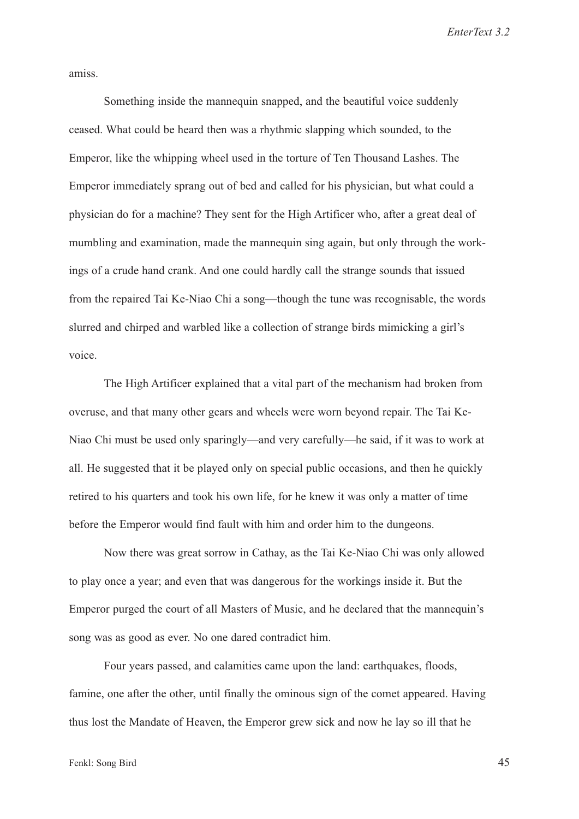amiss.

Something inside the mannequin snapped, and the beautiful voice suddenly ceased. What could be heard then was a rhythmic slapping which sounded, to the Emperor, like the whipping wheel used in the torture of Ten Thousand Lashes. The Emperor immediately sprang out of bed and called for his physician, but what could a physician do for a machine? They sent for the High Artificer who, after a great deal of mumbling and examination, made the mannequin sing again, but only through the workings of a crude hand crank. And one could hardly call the strange sounds that issued from the repaired Tai Ke-Niao Chi a song—though the tune was recognisable, the words slurred and chirped and warbled like a collection of strange birds mimicking a girl's voice.

The High Artificer explained that a vital part of the mechanism had broken from overuse, and that many other gears and wheels were worn beyond repair. The Tai Ke-Niao Chi must be used only sparingly—and very carefully—he said, if it was to work at all. He suggested that it be played only on special public occasions, and then he quickly retired to his quarters and took his own life, for he knew it was only a matter of time before the Emperor would find fault with him and order him to the dungeons.

Now there was great sorrow in Cathay, as the Tai Ke-Niao Chi was only allowed to play once a year; and even that was dangerous for the workings inside it. But the Emperor purged the court of all Masters of Music, and he declared that the mannequin's song was as good as ever. No one dared contradict him.

Four years passed, and calamities came upon the land: earthquakes, floods, famine, one after the other, until finally the ominous sign of the comet appeared. Having thus lost the Mandate of Heaven, the Emperor grew sick and now he lay so ill that he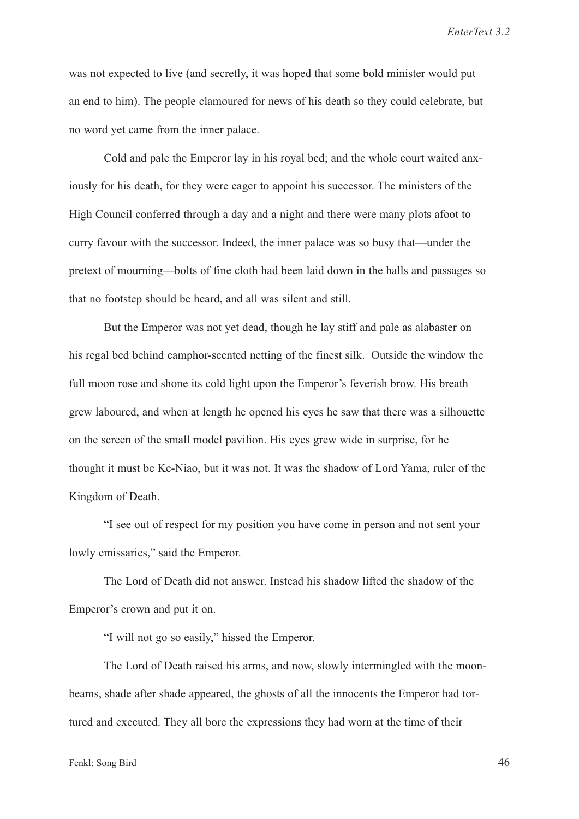was not expected to live (and secretly, it was hoped that some bold minister would put an end to him). The people clamoured for news of his death so they could celebrate, but no word yet came from the inner palace.

Cold and pale the Emperor lay in his royal bed; and the whole court waited anxiously for his death, for they were eager to appoint his successor. The ministers of the High Council conferred through a day and a night and there were many plots afoot to curry favour with the successor. Indeed, the inner palace was so busy that—under the pretext of mourning—bolts of fine cloth had been laid down in the halls and passages so that no footstep should be heard, and all was silent and still.

But the Emperor was not yet dead, though he lay stiff and pale as alabaster on his regal bed behind camphor-scented netting of the finest silk. Outside the window the full moon rose and shone its cold light upon the Emperor's feverish brow. His breath grew laboured, and when at length he opened his eyes he saw that there was a silhouette on the screen of the small model pavilion. His eyes grew wide in surprise, for he thought it must be Ke-Niao, but it was not. It was the shadow of Lord Yama, ruler of the Kingdom of Death.

"I see out of respect for my position you have come in person and not sent your lowly emissaries," said the Emperor.

The Lord of Death did not answer. Instead his shadow lifted the shadow of the Emperor's crown and put it on.

"I will not go so easily," hissed the Emperor.

The Lord of Death raised his arms, and now, slowly intermingled with the moonbeams, shade after shade appeared, the ghosts of all the innocents the Emperor had tortured and executed. They all bore the expressions they had worn at the time of their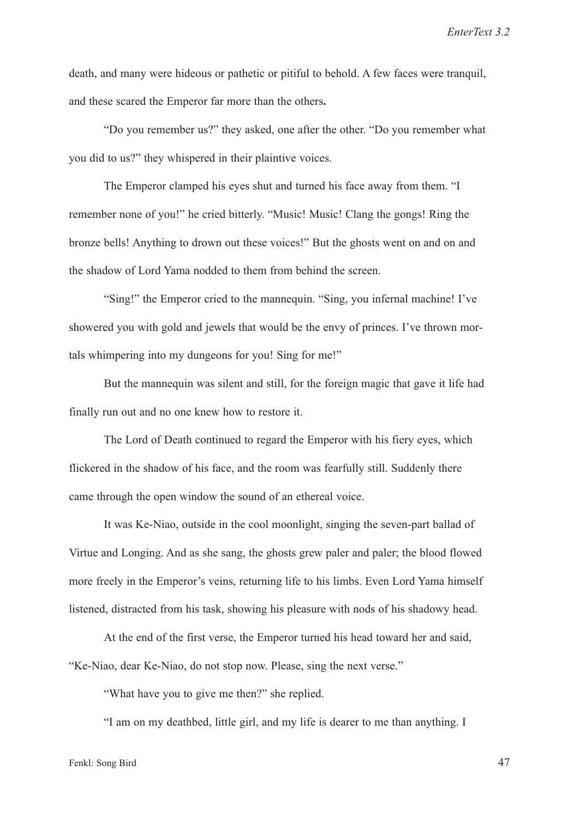death, and many were hideous or pathetic or pitiful to behold. A few faces were tranquil, and these scared the Emperor far more than the others.

"Do you remember us?" they asked, one after the other. "Do you remember what you did to us?" they whispered in their plaintive voices.

The Emperor clamped his eyes shut and turned his face away from them. "I remember none of you!" he cried bitterly. "Music! Music! Clang the gongs! Ring the bronze bells! Anything to drown out these voices!" But the ghosts went on and on and the shadow of Lord Yama nodded to them from behind the screen.

"Sing!" the Emperor cried to the mannequin. "Sing, you infernal machine! I've showered you with gold and jewels that would be the envy of princes. I've thrown mortals whimpering into my dungeons for you! Sing for me!"

But the mannequin was silent and still, for the foreign magic that gave it life had finally run out and no one knew how to restore it.

The Lord of Death continued to regard the Emperor with his fiery eyes, which flickered in the shadow of his face, and the room was fearfully still. Suddenly there came through the open window the sound of an ethereal voice.

It was Ke-Niao, outside in the cool moonlight, singing the seven-part ballad of Virtue and Longing. And as she sang, the ghosts grew paler and paler; the blood flowed more freely in the Emperor's veins, returning life to his limbs. Even Lord Yama himself listened, distracted from his task, showing his pleasure with nods of his shadowy head.

At the end of the first verse, the Emperor turned his head toward her and said, "Ke-Niao, dear Ke-Niao, do not stop now. Please, sing the next verse."

"What have you to give me then?" she replied.

"I am on my deathbed, little girl, and my life is dearer to me than anything. I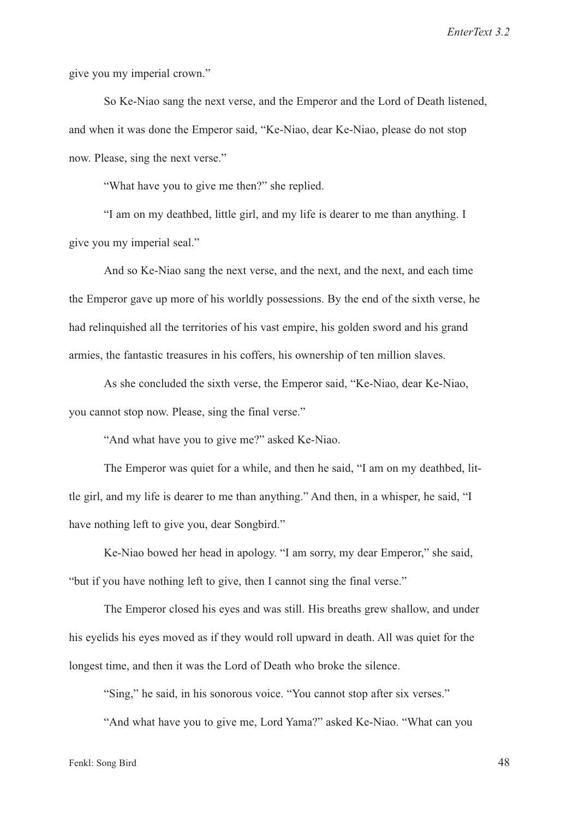give you my imperial crown."

So Ke-Niao sang the next verse, and the Emperor and the Lord of Death listened, and when it was done the Emperor said, "Ke-Niao, dear Ke-Niao, please do not stop now. Please, sing the next verse."

"What have you to give me then?" she replied.

"I am on my deathbed, little girl, and my life is dearer to me than anything. I give you my imperial seal."

And so Ke-Niao sang the next verse, and the next, and the next, and each time the Emperor gave up more of his worldly possessions. By the end of the sixth verse, he had relinquished all the territories of his vast empire, his golden sword and his grand armies, the fantastic treasures in his coffers, his ownership of ten million slaves.

As she concluded the sixth verse, the Emperor said, "Ke-Niao, dear Ke-Niao, you cannot stop now. Please, sing the final verse."

"And what have you to give me?" asked Ke-Niao.

The Emperor was quiet for a while, and then he said, "I am on my deathbed, little girl, and my life is dearer to me than anything." And then, in a whisper, he said, "I have nothing left to give you, dear Songbird."

Ke-Niao bowed her head in apology. "I am sorry, my dear Emperor," she said, "but if you have nothing left to give, then I cannot sing the final verse."

The Emperor closed his eyes and was still. His breaths grew shallow, and under his eyelids his eyes moved as if they would roll upward in death. All was quiet for the longest time, and then it was the Lord of Death who broke the silence.

"Sing," he said, in his sonorous voice. "You cannot stop after six verses."

"And what have you to give me, Lord Yama?" asked Ke-Niao. "What can you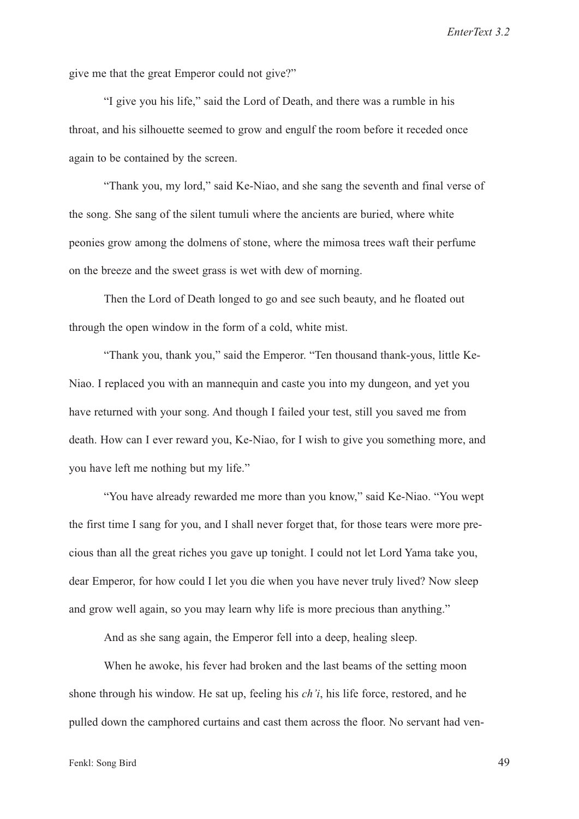give me that the great Emperor could not give?"

"I give you his life," said the Lord of Death, and there was a rumble in his throat, and his silhouette seemed to grow and engulf the room before it receded once again to be contained by the screen.

"Thank you, my lord," said Ke-Niao, and she sang the seventh and final verse of the song. She sang of the silent tumuli where the ancients are buried, where white peonies grow among the dolmens of stone, where the mimosa trees waft their perfume on the breeze and the sweet grass is wet with dew of morning.

Then the Lord of Death longed to go and see such beauty, and he floated out through the open window in the form of a cold, white mist.

"Thank you, thank you," said the Emperor. "Ten thousand thank-yous, little Ke-Niao. I replaced you with an mannequin and caste you into my dungeon, and yet you have returned with your song. And though I failed your test, still you saved me from death. How can I ever reward you, Ke-Niao, for I wish to give you something more, and you have left me nothing but my life."

"You have already rewarded me more than you know," said Ke-Niao. "You wept the first time I sang for you, and I shall never forget that, for those tears were more precious than all the great riches you gave up tonight. I could not let Lord Yama take you, dear Emperor, for how could I let you die when you have never truly lived? Now sleep and grow well again, so you may learn why life is more precious than anything."

And as she sang again, the Emperor fell into a deep, healing sleep.

When he awoke, his fever had broken and the last beams of the setting moon shone through his window. He sat up, feeling his *ch'i*, his life force, restored, and he pulled down the camphored curtains and cast them across the floor. No servant had ven-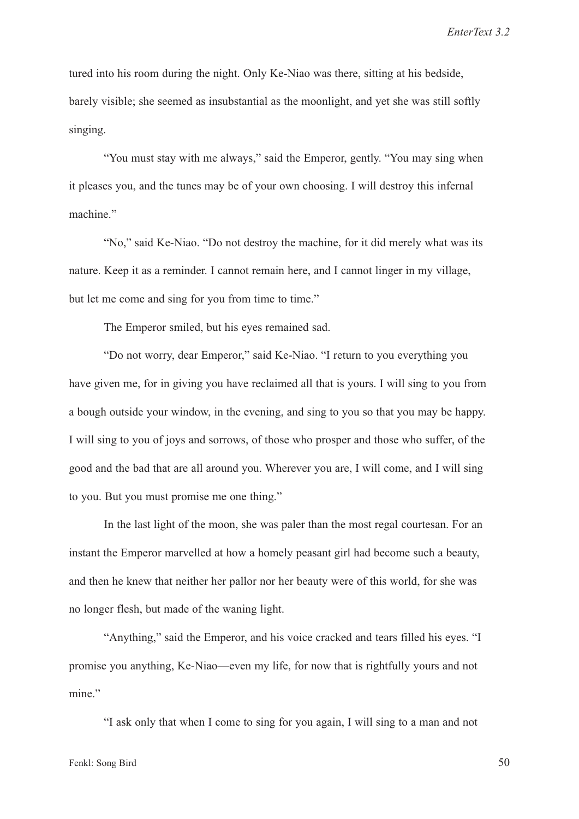tured into his room during the night. Only Ke-Niao was there, sitting at his bedside, barely visible; she seemed as insubstantial as the moonlight, and yet she was still softly singing.

"You must stay with me always," said the Emperor, gently. "You may sing when it pleases you, and the tunes may be of your own choosing. I will destroy this infernal machine."

"No," said Ke-Niao. "Do not destroy the machine, for it did merely what was its nature. Keep it as a reminder. I cannot remain here, and I cannot linger in my village, but let me come and sing for you from time to time."

The Emperor smiled, but his eyes remained sad.

"Do not worry, dear Emperor," said Ke-Niao. "I return to you everything you have given me, for in giving you have reclaimed all that is yours. I will sing to you from a bough outside your window, in the evening, and sing to you so that you may be happy. I will sing to you of joys and sorrows, of those who prosper and those who suffer, of the good and the bad that are all around you. Wherever you are, I will come, and I will sing to you. But you must promise me one thing."

In the last light of the moon, she was paler than the most regal courtesan. For an instant the Emperor marvelled at how a homely peasant girl had become such a beauty, and then he knew that neither her pallor nor her beauty were of this world, for she was no longer flesh, but made of the waning light.

"Anything," said the Emperor, and his voice cracked and tears filled his eyes. "I promise you anything, Ke-Niao—even my life, for now that is rightfully yours and not mine."

"I ask only that when I come to sing for you again, I will sing to a man and not